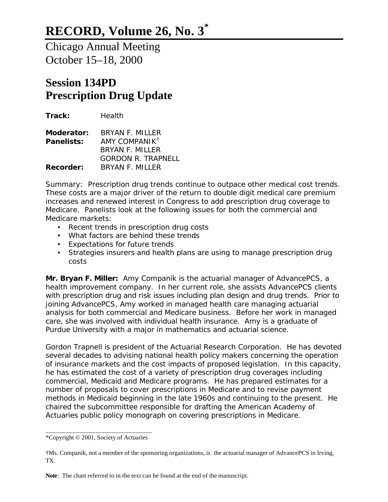Chicago Annual Meeting October 15–18, 2000

## **Session 134PD Prescription Drug Update**

**Track:** Health **Moderator:** BRYAN F. MILLER **Panelists:** AMY COMPANIK† BRYAN F. MILLER GORDON R. TRAPNELL **Recorder:** BRYAN F. MILLER

*Summary: Prescription drug trends continue to outpace other medical cost trends. These costs are a major driver of the return to double digit medical care premium increases and renewed interest in Congress to add prescription drug coverage to Medicare. Panelists look at the following issues for both the commercial and Medicare markets:*

- *Recent trends in prescription drug costs*
- *What factors are behind these trends*
- *Expectations for future trends*
- *Strategies insurers and health plans are using to manage prescription drug costs*

**Mr. Bryan F. Miller:** Amy Companik is the actuarial manager of AdvancePCS, a health improvement company. In her current role, she assists AdvancePCS clients with prescription drug and risk issues including plan design and drug trends. Prior to joining AdvancePCS, Amy worked in managed health care managing actuarial analysis for both commercial and Medicare business. Before her work in managed care, she was involved with individual health insurance. Amy is a graduate of Purdue University with a major in mathematics and actuarial science.

Gordon Trapnell is president of the Actuarial Research Corporation. He has devoted several decades to advising national health policy makers concerning the operation of insurance markets and the cost impacts of proposed legislation. In this capacity, he has estimated the cost of a variety of prescription drug coverages including commercial, Medicaid and Medicare programs. He has prepared estimates for a number of proposals to cover prescriptions in Medicare and to revise payment methods in Medicaid beginning in the late 1960s and continuing to the present. He chaired the subcommittee responsible for drafting the American Academy of Actuaries public policy monograph on covering prescriptions in Medicare.

\_\_\_\_\_\_\_\_\_\_\_\_\_\_\_\_\_\_\_\_\_\_\_\_\_\_\_\_\_\_\_\_ \*Copyright © 2001, Society of Actuaries

<sup>†</sup>Ms. Companik, not a member of the sponsoring organizations, is the actuarial manager of AdvancePCS in Irving, TX.

**Note**: The chart referred to in the text can be found at the end of the manuscript.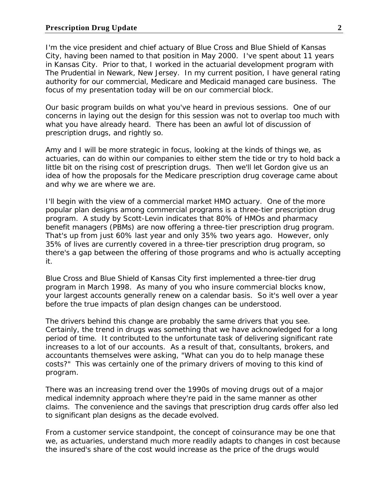I'm the vice president and chief actuary of Blue Cross and Blue Shield of Kansas City, having been named to that position in May 2000. I've spent about 11 years in Kansas City. Prior to that, I worked in the actuarial development program with The Prudential in Newark, New Jersey. In my current position, I have general rating authority for our commercial, Medicare and Medicaid managed care business. The focus of my presentation today will be on our commercial block.

Our basic program builds on what you've heard in previous sessions. One of our concerns in laying out the design for this session was not to overlap too much with what you have already heard. There has been an awful lot of discussion of prescription drugs, and rightly so.

Amy and I will be more strategic in focus, looking at the kinds of things we, as actuaries, can do within our companies to either stem the tide or try to hold back a little bit on the rising cost of prescription drugs. Then we'll let Gordon give us an idea of how the proposals for the Medicare prescription drug coverage came about and why we are where we are.

I'll begin with the view of a commercial market HMO actuary. One of the more popular plan designs among commercial programs is a three-tier prescription drug program. A study by Scott-Levin indicates that 80% of HMOs and pharmacy benefit managers (PBMs) are now offering a three-tier prescription drug program. That's up from just 60% last year and only 35% two years ago. However, only 35% of lives are currently covered in a three-tier prescription drug program, so there's a gap between the offering of those programs and who is actually accepting it.

Blue Cross and Blue Shield of Kansas City first implemented a three-tier drug program in March 1998. As many of you who insure commercial blocks know, your largest accounts generally renew on a calendar basis. So it's well over a year before the true impacts of plan design changes can be understood.

The drivers behind this change are probably the same drivers that you see. Certainly, the trend in drugs was something that we have acknowledged for a long period of time. It contributed to the unfortunate task of delivering significant rate increases to a lot of our accounts. As a result of that, consultants, brokers, and accountants themselves were asking, "What can you do to help manage these costs?" This was certainly one of the primary drivers of moving to this kind of program.

There was an increasing trend over the 1990s of moving drugs out of a major medical indemnity approach where they're paid in the same manner as other claims. The convenience and the savings that prescription drug cards offer also led to significant plan designs as the decade evolved.

From a customer service standpoint, the concept of coinsurance may be one that we, as actuaries, understand much more readily adapts to changes in cost because the insured's share of the cost would increase as the price of the drugs would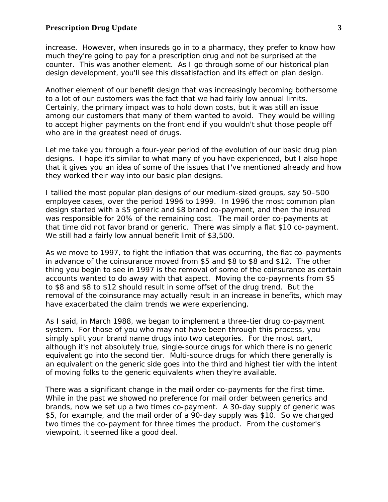increase. However, when insureds go in to a pharmacy, they prefer to know how much they're going to pay for a prescription drug and not be surprised at the counter. This was another element. As I go through some of our historical plan design development, you'll see this dissatisfaction and its effect on plan design.

Another element of our benefit design that was increasingly becoming bothersome to a lot of our customers was the fact that we had fairly low annual limits. Certainly, the primary impact was to hold down costs, but it was still an issue among our customers that many of them wanted to avoid. They would be willing to accept higher payments on the front end if you wouldn't shut those people off who are in the greatest need of drugs.

Let me take you through a four-year period of the evolution of our basic drug plan designs. I hope it's similar to what many of you have experienced, but I also hope that it gives you an idea of some of the issues that I've mentioned already and how they worked their way into our basic plan designs.

I tallied the most popular plan designs of our medium-sized groups, say 50–500 employee cases, over the period 1996 to 1999. In 1996 the most common plan design started with a \$5 generic and \$8 brand co-payment, and then the insured was responsible for 20% of the remaining cost. The mail order co-payments at that time did not favor brand or generic. There was simply a flat \$10 co-payment. We still had a fairly low annual benefit limit of \$3,500.

As we move to 1997, to fight the inflation that was occurring, the flat co-payments in advance of the coinsurance moved from \$5 and \$8 to \$8 and \$12. The other thing you begin to see in 1997 is the removal of some of the coinsurance as certain accounts wanted to do away with that aspect. Moving the co-payments from \$5 to \$8 and \$8 to \$12 should result in some offset of the drug trend. But the removal of the coinsurance may actually result in an increase in benefits, which may have exacerbated the claim trends we were experiencing.

As I said, in March 1988, we began to implement a three-tier drug co-payment system. For those of you who may not have been through this process, you simply split your brand name drugs into two categories. For the most part, although it's not absolutely true, single-source drugs for which there is no generic equivalent go into the second tier. Multi-source drugs for which there generally is an equivalent on the generic side goes into the third and highest tier with the intent of moving folks to the generic equivalents when they're available.

There was a significant change in the mail order co-payments for the first time. While in the past we showed no preference for mail order between generics and brands, now we set up a two times co-payment. A 30-day supply of generic was \$5, for example, and the mail order of a 90-day supply was \$10. So we charged two times the co-payment for three times the product. From the customer's viewpoint, it seemed like a good deal.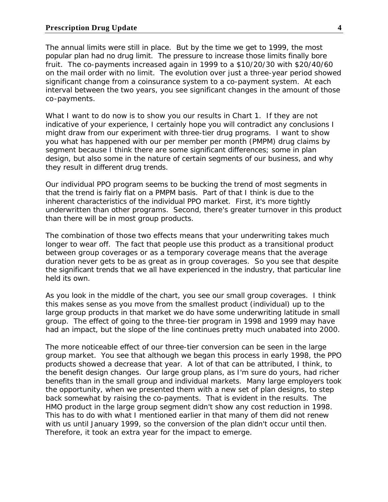The annual limits were still in place. But by the time we get to 1999, the most popular plan had no drug limit. The pressure to increase those limits finally bore fruit. The co-payments increased again in 1999 to a \$10/20/30 with \$20/40/60 on the mail order with no limit. The evolution over just a three-year period showed significant change from a coinsurance system to a co-payment system. At each interval between the two years, you see significant changes in the amount of those co-payments.

What I want to do now is to show you our results in Chart 1. If they are not indicative of your experience, I certainly hope you will contradict any conclusions I might draw from our experiment with three-tier drug programs. I want to show you what has happened with our per member per month (PMPM) drug claims by segment because I think there are some significant differences; some in plan design, but also some in the nature of certain segments of our business, and why they result in different drug trends.

Our individual PPO program seems to be bucking the trend of most segments in that the trend is fairly flat on a PMPM basis. Part of that I think is due to the inherent characteristics of the individual PPO market. First, it's more tightly underwritten than other programs. Second, there's greater turnover in this product than there will be in most group products.

The combination of those two effects means that your underwriting takes much longer to wear off. The fact that people use this product as a transitional product between group coverages or as a temporary coverage means that the average duration never gets to be as great as in group coverages. So you see that despite the significant trends that we all have experienced in the industry, that particular line held its own.

As you look in the middle of the chart, you see our small group coverages. I think this makes sense as you move from the smallest product (individual) up to the large group products in that market we do have some underwriting latitude in small group. The effect of going to the three-tier program in 1998 and 1999 may have had an impact, but the slope of the line continues pretty much unabated into 2000.

The more noticeable effect of our three-tier conversion can be seen in the large group market. You see that although we began this process in early 1998, the PPO products showed a decrease that year. A lot of that can be attributed, I think, to the benefit design changes. Our large group plans, as I'm sure do yours, had richer benefits than in the small group and individual markets. Many large employers took the opportunity, when we presented them with a new set of plan designs, to step back somewhat by raising the co-payments. That is evident in the results. The HMO product in the large group segment didn't show any cost reduction in 1998. This has to do with what I mentioned earlier in that many of them did not renew with us until January 1999, so the conversion of the plan didn't occur until then. Therefore, it took an extra year for the impact to emerge.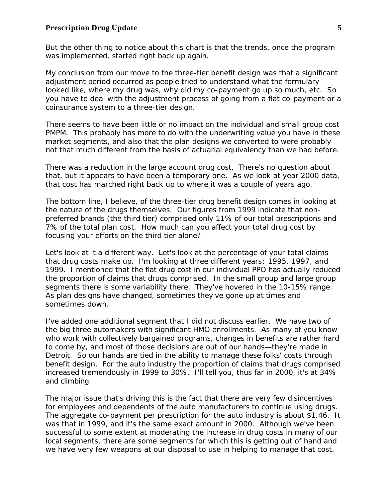But the other thing to notice about this chart is that the trends, once the program was implemented, started right back up again.

My conclusion from our move to the three-tier benefit design was that a significant adjustment period occurred as people tried to understand what the formulary looked like, where my drug was, why did my co-payment go up so much, etc. So you have to deal with the adjustment process of going from a flat co-payment or a coinsurance system to a three-tier design.

There seems to have been little or no impact on the individual and small group cost PMPM. This probably has more to do with the underwriting value you have in these market segments, and also that the plan designs we converted to were probably not that much different from the basis of actuarial equivalency than we had before.

There was a reduction in the large account drug cost. There's no question about that, but it appears to have been a temporary one. As we look at year 2000 data, that cost has marched right back up to where it was a couple of years ago.

The bottom line, I believe, of the three-tier drug benefit design comes in looking at the nature of the drugs themselves. Our figures from 1999 indicate that nonpreferred brands (the third tier) comprised only 11% of our total prescriptions and 7% of the total plan cost. How much can you affect your total drug cost by focusing your efforts on the third tier alone?

Let's look at it a different way. Let's look at the percentage of your total claims that drug costs make up. I'm looking at three different years; 1995, 1997, and 1999. I mentioned that the flat drug cost in our individual PPO has actually reduced the proportion of claims that drugs comprised. In the small group and large group segments there is some variability there. They've hovered in the 10-15% range. As plan designs have changed, sometimes they've gone up at times and sometimes down.

I've added one additional segment that I did not discuss earlier. We have two of the big three automakers with significant HMO enrollments. As many of you know who work with collectively bargained programs, changes in benefits are rather hard to come by, and most of those decisions are out of our hands—they're made in Detroit. So our hands are tied in the ability to manage these folks' costs through benefit design. For the auto industry the proportion of claims that drugs comprised increased tremendously in 1999 to 30%. I'll tell you, thus far in 2000, it's at 34% and climbing.

The major issue that's driving this is the fact that there are very few disincentives for employees and dependents of the auto manufacturers to continue using drugs. The aggregate co-payment per prescription for the auto industry is about \$1.46. It was that in 1999, and it's the same exact amount in 2000. Although we've been successful to some extent at moderating the increase in drug costs in many of our local segments, there are some segments for which this is getting out of hand and we have very few weapons at our disposal to use in helping to manage that cost.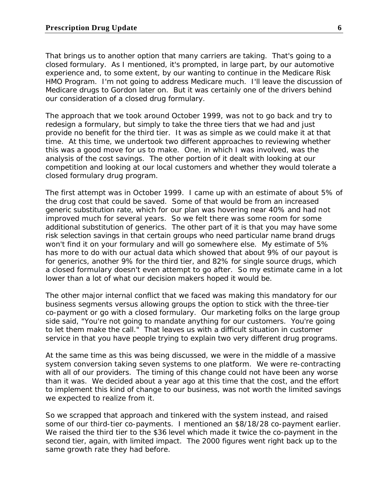That brings us to another option that many carriers are taking. That's going to a closed formulary. As I mentioned, it's prompted, in large part, by our automotive experience and, to some extent, by our wanting to continue in the Medicare Risk HMO Program. I'm not going to address Medicare much. I'll leave the discussion of Medicare drugs to Gordon later on. But it was certainly one of the drivers behind our consideration of a closed drug formulary.

The approach that we took around October 1999, was not to go back and try to redesign a formulary, but simply to take the three tiers that we had and just provide no benefit for the third tier. It was as simple as we could make it at that time. At this time, we undertook two different approaches to reviewing whether this was a good move for us to make. One, in which I was involved, was the analysis of the cost savings. The other portion of it dealt with looking at our competition and looking at our local customers and whether they would tolerate a closed formulary drug program.

The first attempt was in October 1999. I came up with an estimate of about 5% of the drug cost that could be saved. Some of that would be from an increased generic substitution rate, which for our plan was hovering near 40% and had not improved much for several years. So we felt there was some room for some additional substitution of generics. The other part of it is that you may have some risk selection savings in that certain groups who need particular name brand drugs won't find it on your formulary and will go somewhere else. My estimate of 5% has more to do with our actual data which showed that about 9% of our payout is for generics, another 9% for the third tier, and 82% for single source drugs, which a closed formulary doesn't even attempt to go after. So my estimate came in a lot lower than a lot of what our decision makers hoped it would be.

The other major internal conflict that we faced was making this mandatory for our business segments versus allowing groups the option to stick with the three-tier co-payment or go with a closed formulary. Our marketing folks on the large group side said, "You're not going to mandate anything for our customers. You're going to let them make the call." That leaves us with a difficult situation in customer service in that you have people trying to explain two very different drug programs.

At the same time as this was being discussed, we were in the middle of a massive system conversion taking seven systems to one platform. We were re-contracting with all of our providers. The timing of this change could not have been any worse than it was. We decided about a year ago at this time that the cost, and the effort to implement this kind of change to our business, was not worth the limited savings we expected to realize from it.

So we scrapped that approach and tinkered with the system instead, and raised some of our third-tier co-payments. I mentioned an \$8/18/28 co-payment earlier. We raised the third tier to the \$36 level which made it twice the co-payment in the second tier, again, with limited impact. The 2000 figures went right back up to the same growth rate they had before.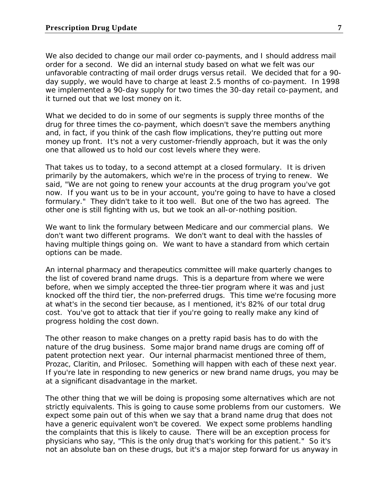We also decided to change our mail order co-payments, and I should address mail order for a second. We did an internal study based on what we felt was our unfavorable contracting of mail order drugs versus retail. We decided that for a 90 day supply, we would have to charge at least 2.5 months of co-payment. In 1998 we implemented a 90-day supply for two times the 30-day retail co-payment, and it turned out that we lost money on it.

What we decided to do in some of our segments is supply three months of the drug for three times the co-payment, which doesn't save the members anything and, in fact, if you think of the cash flow implications, they're putting out more money up front. It's not a very customer-friendly approach, but it was the only one that allowed us to hold our cost levels where they were.

That takes us to today, to a second attempt at a closed formulary. It is driven primarily by the automakers, which we're in the process of trying to renew. We said, "We are not going to renew your accounts at the drug program you've got now. If you want us to be in your account, you're going to have to have a closed formulary." They didn't take to it too well. But one of the two has agreed. The other one is still fighting with us, but we took an all-or-nothing position.

We want to link the formulary between Medicare and our commercial plans. We don't want two different programs. We don't want to deal with the hassles of having multiple things going on. We want to have a standard from which certain options can be made.

An internal pharmacy and therapeutics committee will make quarterly changes to the list of covered brand name drugs. This is a departure from where we were before, when we simply accepted the three-tier program where it was and just knocked off the third tier, the non-preferred drugs. This time we're focusing more at what's in the second tier because, as I mentioned, it's 82% of our total drug cost. You've got to attack that tier if you're going to really make any kind of progress holding the cost down.

The other reason to make changes on a pretty rapid basis has to do with the nature of the drug business. Some major brand name drugs are coming off of patent protection next year. Our internal pharmacist mentioned three of them, Prozac, Claritin, and Prilosec. Something will happen with each of these next year. If you're late in responding to new generics or new brand name drugs, you may be at a significant disadvantage in the market.

The other thing that we will be doing is proposing some alternatives which are not strictly equivalents. This is going to cause some problems from our customers. We expect some pain out of this when we say that a brand name drug that does not have a generic equivalent won't be covered. We expect some problems handling the complaints that this is likely to cause. There will be an exception process for physicians who say, "This is the only drug that's working for this patient." So it's not an absolute ban on these drugs, but it's a major step forward for us anyway in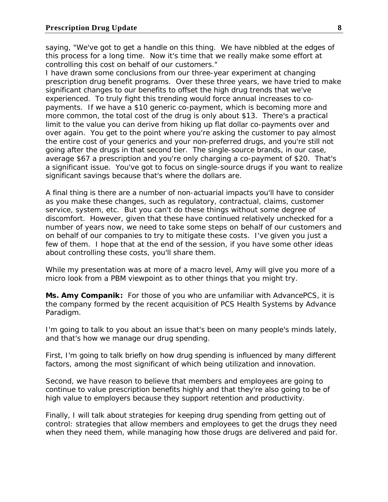saying, "We've got to get a handle on this thing. We have nibbled at the edges of this process for a long time. Now it's time that we really make some effort at controlling this cost on behalf of our customers."

I have drawn some conclusions from our three-year experiment at changing prescription drug benefit programs. Over these three years, we have tried to make significant changes to our benefits to offset the high drug trends that we've experienced. To truly fight this trending would force annual increases to copayments. If we have a \$10 generic co-payment, which is becoming more and more common, the total cost of the drug is only about \$13. There's a practical limit to the value you can derive from hiking up flat dollar co-payments over and over again. You get to the point where you're asking the customer to pay almost the entire cost of your generics and your non-preferred drugs, and you're still not going after the drugs in that second tier. The single-source brands, in our case, average \$67 a prescription and you're only charging a co-payment of \$20. That's a significant issue. You've got to focus on single-source drugs if you want to realize significant savings because that's where the dollars are.

A final thing is there are a number of non-actuarial impacts you'll have to consider as you make these changes, such as regulatory, contractual, claims, customer service, system, etc. But you can't do these things without some degree of discomfort. However, given that these have continued relatively unchecked for a number of years now, we need to take some steps on behalf of our customers and on behalf of our companies to try to mitigate these costs. I've given you just a few of them. I hope that at the end of the session, if you have some other ideas about controlling these costs, you'll share them.

While my presentation was at more of a macro level, Amy will give you more of a micro look from a PBM viewpoint as to other things that you might try.

**Ms. Amy Companik:** For those of you who are unfamiliar with AdvancePCS, it is the company formed by the recent acquisition of PCS Health Systems by Advance Paradigm.

I'm going to talk to you about an issue that's been on many people's minds lately, and that's how we manage our drug spending.

First, I'm going to talk briefly on how drug spending is influenced by many different factors, among the most significant of which being utilization and innovation.

Second, we have reason to believe that members and employees are going to continue to value prescription benefits highly and that they're also going to be of high value to employers because they support retention and productivity.

Finally, I will talk about strategies for keeping drug spending from getting out of control: strategies that allow members and employees to get the drugs they need when they need them, while managing how those drugs are delivered and paid for.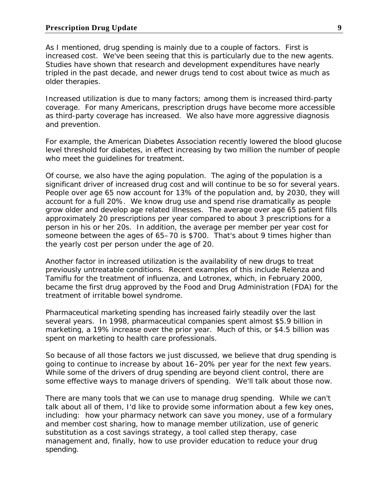## **Prescription Drug Update 9**

As I mentioned, drug spending is mainly due to a couple of factors. First is increased cost. We've been seeing that this is particularly due to the new agents. Studies have shown that research and development expenditures have nearly tripled in the past decade, and newer drugs tend to cost about twice as much as older therapies.

Increased utilization is due to many factors; among them is increased third-party coverage. For many Americans, prescription drugs have become more accessible as third-party coverage has increased. We also have more aggressive diagnosis and prevention.

For example, the American Diabetes Association recently lowered the blood glucose level threshold for diabetes, in effect increasing by two million the number of people who meet the guidelines for treatment.

Of course, we also have the aging population. The aging of the population is a significant driver of increased drug cost and will continue to be so for several years. People over age 65 now account for 13% of the population and, by 2030, they will account for a full 20%. We know drug use and spend rise dramatically as people grow older and develop age related illnesses. The average over age 65 patient fills approximately 20 prescriptions per year compared to about 3 prescriptions for a person in his or her 20s. In addition, the average per member per year cost for someone between the ages of 65–70 is \$700. That's about 9 times higher than the yearly cost per person under the age of 20.

Another factor in increased utilization is the availability of new drugs to treat previously untreatable conditions. Recent examples of this include Relenza and Tamiflu for the treatment of influenza, and Lotronex, which, in February 2000, became the first drug approved by the Food and Drug Administration (FDA) for the treatment of irritable bowel syndrome.

Pharmaceutical marketing spending has increased fairly steadily over the last several years. In 1998, pharmaceutical companies spent almost \$5.9 billion in marketing, a 19% increase over the prior year. Much of this, or \$4.5 billion was spent on marketing to health care professionals.

So because of all those factors we just discussed, we believe that drug spending is going to continue to increase by about 16–20% per year for the next few years. While some of the drivers of drug spending are beyond client control, there are some effective ways to manage drivers of spending. We'll talk about those now.

There are many tools that we can use to manage drug spending. While we can't talk about all of them, I'd like to provide some information about a few key ones, including: how your pharmacy network can save you money, use of a formulary and member cost sharing, how to manage member utilization, use of generic substitution as a cost savings strategy, a tool called step therapy, case management and, finally, how to use provider education to reduce your drug spending.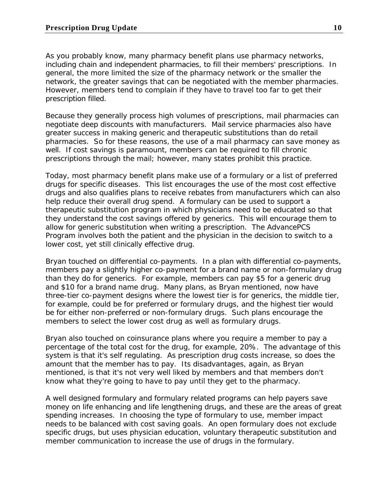As you probably know, many pharmacy benefit plans use pharmacy networks, including chain and independent pharmacies, to fill their members' prescriptions. In general, the more limited the size of the pharmacy network or the smaller the network, the greater savings that can be negotiated with the member pharmacies. However, members tend to complain if they have to travel too far to get their prescription filled.

Because they generally process high volumes of prescriptions, mail pharmacies can negotiate deep discounts with manufacturers. Mail service pharmacies also have greater success in making generic and therapeutic substitutions than do retail pharmacies. So for these reasons, the use of a mail pharmacy can save money as well. If cost savings is paramount, members can be required to fill chronic prescriptions through the mail; however, many states prohibit this practice.

Today, most pharmacy benefit plans make use of a formulary or a list of preferred drugs for specific diseases. This list encourages the use of the most cost effective drugs and also qualifies plans to receive rebates from manufacturers which can also help reduce their overall drug spend. A formulary can be used to support a therapeutic substitution program in which physicians need to be educated so that they understand the cost savings offered by generics. This will encourage them to allow for generic substitution when writing a prescription. The AdvancePCS Program involves both the patient and the physician in the decision to switch to a lower cost, yet still clinically effective drug.

Bryan touched on differential co-payments. In a plan with differential co-payments, members pay a slightly higher co-payment for a brand name or non-formulary drug than they do for generics. For example, members can pay \$5 for a generic drug and \$10 for a brand name drug. Many plans, as Bryan mentioned, now have three-tier co-payment designs where the lowest tier is for generics, the middle tier, for example, could be for preferred or formulary drugs, and the highest tier would be for either non-preferred or non-formulary drugs. Such plans encourage the members to select the lower cost drug as well as formulary drugs.

Bryan also touched on coinsurance plans where you require a member to pay a percentage of the total cost for the drug, for example, 20%. The advantage of this system is that it's self regulating. As prescription drug costs increase, so does the amount that the member has to pay. Its disadvantages, again, as Bryan mentioned, is that it's not very well liked by members and that members don't know what they're going to have to pay until they get to the pharmacy.

A well designed formulary and formulary related programs can help payers save money on life enhancing and life lengthening drugs, and these are the areas of great spending increases. In choosing the type of formulary to use, member impact needs to be balanced with cost saving goals. An open formulary does not exclude specific drugs, but uses physician education, voluntary therapeutic substitution and member communication to increase the use of drugs in the formulary.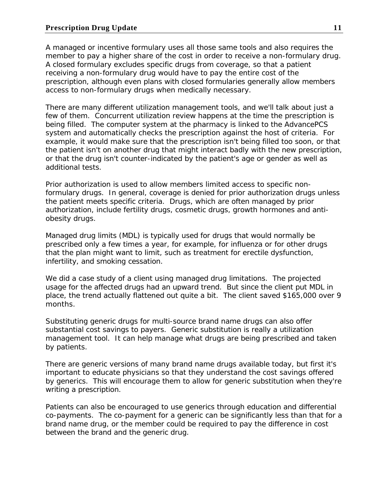A managed or incentive formulary uses all those same tools and also requires the member to pay a higher share of the cost in order to receive a non-formulary drug. A closed formulary excludes specific drugs from coverage, so that a patient receiving a non-formulary drug would have to pay the entire cost of the prescription, although even plans with closed formularies generally allow members access to non-formulary drugs when medically necessary.

There are many different utilization management tools, and we'll talk about just a few of them. Concurrent utilization review happens at the time the prescription is being filled. The computer system at the pharmacy is linked to the AdvancePCS system and automatically checks the prescription against the host of criteria. For example, it would make sure that the prescription isn't being filled too soon, or that the patient isn't on another drug that might interact badly with the new prescription, or that the drug isn't counter-indicated by the patient's age or gender as well as additional tests.

Prior authorization is used to allow members limited access to specific nonformulary drugs. In general, coverage is denied for prior authorization drugs unless the patient meets specific criteria. Drugs, which are often managed by prior authorization, include fertility drugs, cosmetic drugs, growth hormones and antiobesity drugs.

Managed drug limits (MDL) is typically used for drugs that would normally be prescribed only a few times a year, for example, for influenza or for other drugs that the plan might want to limit, such as treatment for erectile dysfunction, infertility, and smoking cessation.

We did a case study of a client using managed drug limitations. The projected usage for the affected drugs had an upward trend. But since the client put MDL in place, the trend actually flattened out quite a bit. The client saved \$165,000 over 9 months.

Substituting generic drugs for multi-source brand name drugs can also offer substantial cost savings to payers. Generic substitution is really a utilization management tool. It can help manage what drugs are being prescribed and taken by patients.

There are generic versions of many brand name drugs available today, but first it's important to educate physicians so that they understand the cost savings offered by generics. This will encourage them to allow for generic substitution when they're writing a prescription.

Patients can also be encouraged to use generics through education and differential co-payments. The co-payment for a generic can be significantly less than that for a brand name drug, or the member could be required to pay the difference in cost between the brand and the generic drug.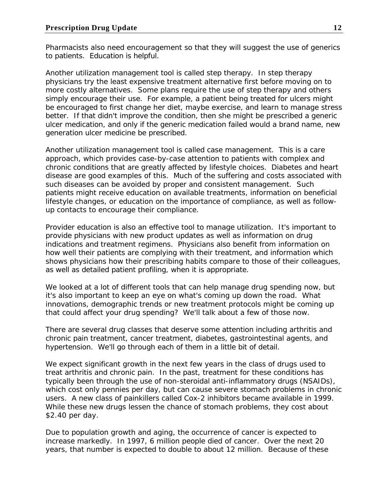Pharmacists also need encouragement so that they will suggest the use of generics to patients. Education is helpful.

Another utilization management tool is called step therapy. In step therapy physicians try the least expensive treatment alternative first before moving on to more costly alternatives. Some plans require the use of step therapy and others simply encourage their use. For example, a patient being treated for ulcers might be encouraged to first change her diet, maybe exercise, and learn to manage stress better. If that didn't improve the condition, then she might be prescribed a generic ulcer medication, and only if the generic medication failed would a brand name, new generation ulcer medicine be prescribed.

Another utilization management tool is called case management. This is a care approach, which provides case-by-case attention to patients with complex and chronic conditions that are greatly affected by lifestyle choices. Diabetes and heart disease are good examples of this. Much of the suffering and costs associated with such diseases can be avoided by proper and consistent management. Such patients might receive education on available treatments, information on beneficial lifestyle changes, or education on the importance of compliance, as well as followup contacts to encourage their compliance.

Provider education is also an effective tool to manage utilization. It's important to provide physicians with new product updates as well as information on drug indications and treatment regimens. Physicians also benefit from information on how well their patients are complying with their treatment, and information which shows physicians how their prescribing habits compare to those of their colleagues, as well as detailed patient profiling, when it is appropriate.

We looked at a lot of different tools that can help manage drug spending now, but it's also important to keep an eye on what's coming up down the road. What innovations, demographic trends or new treatment protocols might be coming up that could affect your drug spending? We'll talk about a few of those now.

There are several drug classes that deserve some attention including arthritis and chronic pain treatment, cancer treatment, diabetes, gastrointestinal agents, and hypertension. We'll go through each of them in a little bit of detail.

We expect significant growth in the next few years in the class of drugs used to treat arthritis and chronic pain. In the past, treatment for these conditions has typically been through the use of non-steroidal anti-inflammatory drugs (NSAIDs), which cost only pennies per day, but can cause severe stomach problems in chronic users. A new class of painkillers called Cox-2 inhibitors became available in 1999. While these new drugs lessen the chance of stomach problems, they cost about \$2.40 per day.

Due to population growth and aging, the occurrence of cancer is expected to increase markedly. In 1997, 6 million people died of cancer. Over the next 20 years, that number is expected to double to about 12 million. Because of these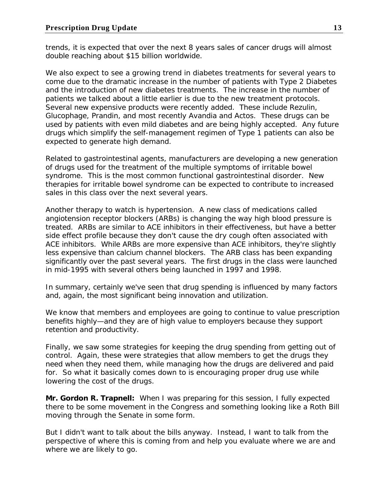trends, it is expected that over the next 8 years sales of cancer drugs will almost double reaching about \$15 billion worldwide.

We also expect to see a growing trend in diabetes treatments for several years to come due to the dramatic increase in the number of patients with Type 2 Diabetes and the introduction of new diabetes treatments. The increase in the number of patients we talked about a little earlier is due to the new treatment protocols. Several new expensive products were recently added. These include Rezulin, Glucophage, Prandin, and most recently Avandia and Actos. These drugs can be used by patients with even mild diabetes and are being highly accepted. Any future drugs which simplify the self-management regimen of Type 1 patients can also be expected to generate high demand.

Related to gastrointestinal agents, manufacturers are developing a new generation of drugs used for the treatment of the multiple symptoms of irritable bowel syndrome. This is the most common functional gastrointestinal disorder. New therapies for irritable bowel syndrome can be expected to contribute to increased sales in this class over the next several years.

Another therapy to watch is hypertension. A new class of medications called angiotension receptor blockers (ARBs) is changing the way high blood pressure is treated. ARBs are similar to ACE inhibitors in their effectiveness, but have a better side effect profile because they don't cause the dry cough often associated with ACE inhibitors. While ARBs are more expensive than ACE inhibitors, they're slightly less expensive than calcium channel blockers. The ARB class has been expanding significantly over the past several years. The first drugs in the class were launched in mid-1995 with several others being launched in 1997 and 1998.

In summary, certainly we've seen that drug spending is influenced by many factors and, again, the most significant being innovation and utilization.

We know that members and employees are going to continue to value prescription benefits highly—and they are of high value to employers because they support retention and productivity.

Finally, we saw some strategies for keeping the drug spending from getting out of control. Again, these were strategies that allow members to get the drugs they need when they need them, while managing how the drugs are delivered and paid for. So what it basically comes down to is encouraging proper drug use while lowering the cost of the drugs.

**Mr. Gordon R. Trapnell:** When I was preparing for this session, I fully expected there to be some movement in the Congress and something looking like a Roth Bill moving through the Senate in some form.

But I didn't want to talk about the bills anyway. Instead, I want to talk from the perspective of where this is coming from and help you evaluate where we are and where we are likely to go.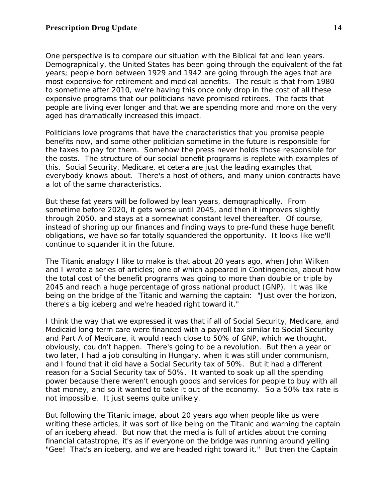One perspective is to compare our situation with the Biblical fat and lean years. Demographically, the United States has been going through the equivalent of the fat years; people born between 1929 and 1942 are going through the ages that are most expensive for retirement and medical benefits. The result is that from 1980 to sometime after 2010, we're having this once only drop in the cost of all these expensive programs that our politicians have promised retirees. The facts that people are living ever longer and that we are spending more and more on the very aged has dramatically increased this impact.

Politicians love programs that have the characteristics that you promise people benefits now, and some other politician sometime in the future is responsible for the taxes to pay for them. Somehow the press never holds those responsible for the costs. The structure of our social benefit programs is replete with examples of this. Social Security, Medicare, et cetera are just the leading examples that everybody knows about. There's a host of others, and many union contracts have a lot of the same characteristics.

But these fat years will be followed by lean years, demographically. From sometime before 2020, it gets worse until 2045, and then it improves slightly through 2050, and stays at a somewhat constant level thereafter. Of course, instead of shoring up our finances and finding ways to pre-fund these huge benefit obligations, we have so far totally squandered the opportunity. It looks like we'll continue to squander it in the future.

The Titanic analogy I like to make is that about 20 years ago, when John Wilken and I wrote a series of articles; one of which appeared in *Contingencies*, about how the total cost of the benefit programs was going to more than double or triple by 2045 and reach a huge percentage of gross national product (GNP). It was like being on the bridge of the Titanic and warning the captain: "Just over the horizon, there's a big iceberg and we're headed right toward it."

I think the way that we expressed it was that if all of Social Security, Medicare, and Medicaid long-term care were financed with a payroll tax similar to Social Security and Part A of Medicare, it would reach close to 50% of GNP, which we thought, obviously, couldn't happen. There's going to be a revolution. But then a year or two later, I had a job consulting in Hungary, when it was still under communism, and I found that it did have a Social Security tax of 50%. But it had a different reason for a Social Security tax of 50%. It wanted to soak up all the spending power because there weren't enough goods and services for people to buy with all that money, and so it wanted to take it out of the economy. So a 50% tax rate is not impossible. It just seems quite unlikely.

But following the Titanic image, about 20 years ago when people like us were writing these articles, it was sort of like being on the Titanic and warning the captain of an iceberg ahead. But now that the media is full of articles about the coming financial catastrophe, it's as if everyone on the bridge was running around yelling "Gee! That's an iceberg, and we are headed right toward it." But then the Captain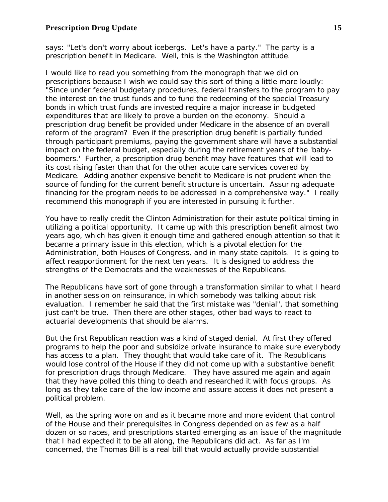says: "Let's don't worry about icebergs. Let's have a party." The party is a prescription benefit in Medicare. Well, this is the Washington attitude.

I would like to read you something from the monograph that we did on prescriptions because I wish we could say this sort of thing a little more loudly: "Since under federal budgetary procedures, federal transfers to the program to pay the interest on the trust funds and to fund the redeeming of the special Treasury bonds in which trust funds are invested require a major increase in budgeted expenditures that are likely to prove a burden on the economy. Should a prescription drug benefit be provided under Medicare in the absence of an overall reform of the program? Even if the prescription drug benefit is partially funded through participant premiums, paying the government share will have a substantial impact on the federal budget, especially during the retirement years of the 'babyboomers.' Further, a prescription drug benefit may have features that will lead to its cost rising faster than that for the other acute care services covered by Medicare. Adding another expensive benefit to Medicare is not prudent when the source of funding for the current benefit structure is uncertain. Assuring adequate financing for the program needs to be addressed in a comprehensive way." I really recommend this monograph if you are interested in pursuing it further.

You have to really credit the Clinton Administration for their astute political timing in utilizing a political opportunity. It came up with this prescription benefit almost two years ago, which has given it enough time and gathered enough attention so that it became a primary issue in this election, which is a pivotal election for the Administration, both Houses of Congress, and in many state capitols. It is going to affect reapportionment for the next ten years. It is designed to address the strengths of the Democrats and the weaknesses of the Republicans.

The Republicans have sort of gone through a transformation similar to what I heard in another session on reinsurance, in which somebody was talking about risk evaluation. I remember he said that the first mistake was "denial", that something just can't be true. Then there are other stages, other bad ways to react to actuarial developments that should be alarms.

But the first Republican reaction was a kind of staged denial. At first they offered programs to help the poor and subsidize private insurance to make sure everybody has access to a plan. They thought that would take care of it. The Republicans would lose control of the House if they did not come up with a substantive benefit for prescription drugs through Medicare. They have assured me again and again that they have polled this thing to death and researched it with focus groups. As long as they take care of the low income and assure access it does not present a political problem.

Well, as the spring wore on and as it became more and more evident that control of the House and their prerequisites in Congress depended on as few as a half dozen or so races, and prescriptions started emerging as an issue of the magnitude that I had expected it to be all along, the Republicans did act. As far as I'm concerned, the Thomas Bill is a real bill that would actually provide substantial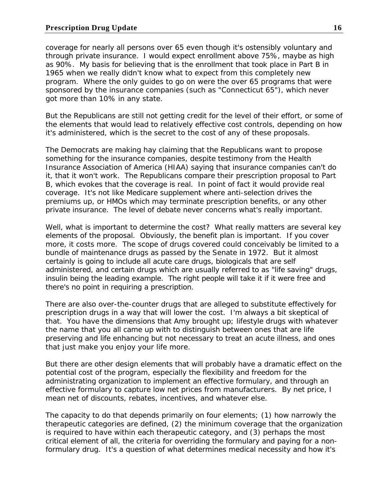coverage for nearly all persons over 65 even though it's ostensibly voluntary and through private insurance. I would expect enrollment above 75%, maybe as high as 90%. My basis for believing that is the enrollment that took place in Part B in 1965 when we really didn't know what to expect from this completely new program. Where the only guides to go on were the over 65 programs that were sponsored by the insurance companies (such as "Connecticut 65"), which never got more than 10% in any state.

But the Republicans are still not getting credit for the level of their effort, or some of the elements that would lead to relatively effective cost controls, depending on how it's administered, which is the secret to the cost of any of these proposals.

The Democrats are making hay claiming that the Republicans want to propose something for the insurance companies, despite testimony from the Health Insurance Association of America (HIAA) saying that insurance companies can't do it, that it won't work. The Republicans compare their prescription proposal to Part B, which evokes that the coverage is real. In point of fact it would provide real coverage. It's not like Medicare supplement where anti-selection drives the premiums up, or HMOs which may terminate prescription benefits, or any other private insurance. The level of debate never concerns what's really important.

Well, what is important to determine the cost? What really matters are several key elements of the proposal. Obviously, the benefit plan is important. If you cover more, it costs more. The scope of drugs covered could conceivably be limited to a bundle of maintenance drugs as passed by the Senate in 1972. But it almost certainly is going to include all acute care drugs, biologicals that are self administered, and certain drugs which are usually referred to as "life saving" drugs, insulin being the leading example. The right people will take it if it were free and there's no point in requiring a prescription.

There are also over-the-counter drugs that are alleged to substitute effectively for prescription drugs in a way that will lower the cost. I'm always a bit skeptical of that. You have the dimensions that Amy brought up; lifestyle drugs with whatever the name that you all came up with to distinguish between ones that are life preserving and life enhancing but not necessary to treat an acute illness, and ones that just make you enjoy your life more.

But there are other design elements that will probably have a dramatic effect on the potential cost of the program, especially the flexibility and freedom for the administrating organization to implement an effective formulary, and through an effective formulary to capture low net prices from manufacturers. By net price, I mean net of discounts, rebates, incentives, and whatever else.

The capacity to do that depends primarily on four elements; (1) how narrowly the therapeutic categories are defined, (2) the minimum coverage that the organization is required to have within each therapeutic category, and (3) perhaps the most critical element of all, the criteria for overriding the formulary and paying for a nonformulary drug. It's a question of what determines medical necessity and how it's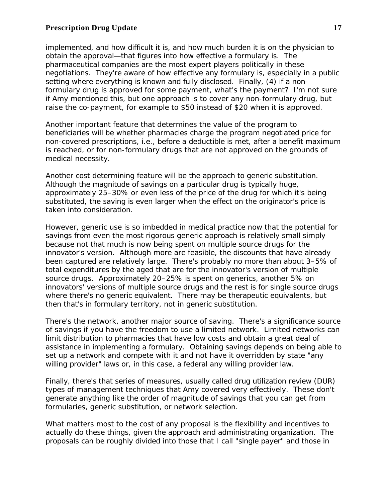implemented, and how difficult it is, and how much burden it is on the physician to obtain the approval—that figures into how effective a formulary is. The pharmaceutical companies are the most expert players politically in these negotiations. They're aware of how effective any formulary is, especially in a public setting where everything is known and fully disclosed. Finally, (4) if a nonformulary drug is approved for some payment, what's the payment? I'm not sure if Amy mentioned this, but one approach is to cover any non-formulary drug, but raise the co-payment, for example to \$50 instead of \$20 when it is approved.

Another important feature that determines the value of the program to beneficiaries will be whether pharmacies charge the program negotiated price for non-covered prescriptions, i.e., before a deductible is met, after a benefit maximum is reached, or for non-formulary drugs that are not approved on the grounds of medical necessity.

Another cost determining feature will be the approach to generic substitution. Although the magnitude of savings on a particular drug is typically huge, approximately 25–30% or even less of the price of the drug for which it's being substituted, the saving is even larger when the effect on the originator's price is taken into consideration.

However, generic use is so imbedded in medical practice now that the potential for savings from even the most rigorous generic approach is relatively small simply because not that much is now being spent on multiple source drugs for the innovator's version. Although more are feasible, the discounts that have already been captured are relatively large. There's probably no more than about 3–5% of total expenditures by the aged that are for the innovator's version of multiple source drugs. Approximately 20–25% is spent on generics, another 5% on innovators' versions of multiple source drugs and the rest is for single source drugs where there's no generic equivalent. There may be therapeutic equivalents, but then that's in formulary territory, not in generic substitution.

There's the network, another major source of saving. There's a significance source of savings if you have the freedom to use a limited network. Limited networks can limit distribution to pharmacies that have low costs and obtain a great deal of assistance in implementing a formulary. Obtaining savings depends on being able to set up a network and compete with it and not have it overridden by state "any willing provider" laws or, in this case, a federal any willing provider law.

Finally, there's that series of measures, usually called drug utilization review (DUR) types of management techniques that Amy covered very effectively. These don't generate anything like the order of magnitude of savings that you can get from formularies, generic substitution, or network selection.

What matters most to the cost of any proposal is the flexibility and incentives to actually do these things, given the approach and administrating organization. The proposals can be roughly divided into those that I call "single payer" and those in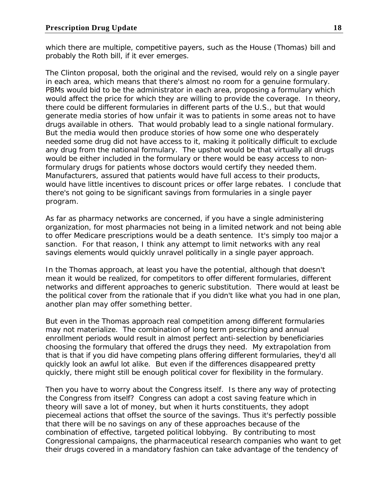which there are multiple, competitive payers, such as the House (Thomas) bill and probably the Roth bill, if it ever emerges.

The Clinton proposal, both the original and the revised, would rely on a single payer in each area, which means that there's almost no room for a genuine formulary. PBMs would bid to be the administrator in each area, proposing a formulary which would affect the price for which they are willing to provide the coverage. In theory, there could be different formularies in different parts of the U.S., but that would generate media stories of how unfair it was to patients in some areas not to have drugs available in others. That would probably lead to a single national formulary. But the media would then produce stories of how some one who desperately needed some drug did not have access to it, making it politically difficult to exclude any drug from the national formulary. The upshot would be that virtually all drugs would be either included in the formulary or there would be easy access to nonformulary drugs for patients whose doctors would certify they needed them. Manufacturers, assured that patients would have full access to their products, would have little incentives to discount prices or offer large rebates. I conclude that there's not going to be significant savings from formularies in a single payer program.

As far as pharmacy networks are concerned, if you have a single administering organization, for most pharmacies not being in a limited network and not being able to offer Medicare prescriptions would be a death sentence. It's simply too major a sanction. For that reason, I think any attempt to limit networks with any real savings elements would quickly unravel politically in a single payer approach.

In the Thomas approach, at least you have the potential, although that doesn't mean it would be realized, for competitors to offer different formularies, different networks and different approaches to generic substitution. There would at least be the political cover from the rationale that if you didn't like what you had in one plan, another plan may offer something better.

But even in the Thomas approach real competition among different formularies may not materialize. The combination of long term prescribing and annual enrollment periods would result in almost perfect anti-selection by beneficiaries choosing the formulary that offered the drugs they need. My extrapolation from that is that if you did have competing plans offering different formularies, they'd all quickly look an awful lot alike. But even if the differences disappeared pretty quickly, there might still be enough political cover for flexibility in the formulary.

Then you have to worry about the Congress itself. Is there any way of protecting the Congress from itself? Congress can adopt a cost saving feature which in theory will save a lot of money, but when it hurts constituents, they adopt piecemeal actions that offset the source of the savings. Thus it's perfectly possible that there will be no savings on any of these approaches because of the combination of effective, targeted political lobbying. By contributing to most Congressional campaigns, the pharmaceutical research companies who want to get their drugs covered in a mandatory fashion can take advantage of the tendency of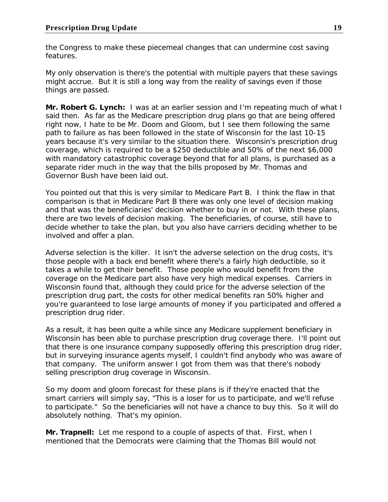the Congress to make these piecemeal changes that can undermine cost saving features.

My only observation is there's the potential with multiple payers that these savings might accrue. But it is still a long way from the reality of savings even if those things are passed.

**Mr. Robert G. Lynch:** I was at an earlier session and I'm repeating much of what I said then. As far as the Medicare prescription drug plans go that are being offered right now, I hate to be Mr. Doom and Gloom, but I see them following the same path to failure as has been followed in the state of Wisconsin for the last 10-15 years because it's very similar to the situation there. Wisconsin's prescription drug coverage, which is required to be a \$250 deductible and 50% of the next \$6,000 with mandatory catastrophic coverage beyond that for all plans, is purchased as a separate rider much in the way that the bills proposed by Mr. Thomas and Governor Bush have been laid out.

You pointed out that this is very similar to Medicare Part B. I think the flaw in that comparison is that in Medicare Part B there was only one level of decision making and that was the beneficiaries' decision whether to buy in or not. With these plans, there are two levels of decision making. The beneficiaries, of course, still have to decide whether to take the plan, but you also have carriers deciding whether to be involved and offer a plan.

Adverse selection is the killer. It isn't the adverse selection on the drug costs, it's those people with a back end benefit where there's a fairly high deductible, so it takes a while to get their benefit. Those people who would benefit from the coverage on the Medicare part also have very high medical expenses. Carriers in Wisconsin found that, although they could price for the adverse selection of the prescription drug part, the costs for other medical benefits ran 50% higher and you're guaranteed to lose large amounts of money if you participated and offered a prescription drug rider.

As a result, it has been quite a while since any Medicare supplement beneficiary in Wisconsin has been able to purchase prescription drug coverage there. I'll point out that there is one insurance company supposedly offering this prescription drug rider, but in surveying insurance agents myself, I couldn't find anybody who was aware of that company. The uniform answer I got from them was that there's nobody selling prescription drug coverage in Wisconsin.

So my doom and gloom forecast for these plans is if they're enacted that the smart carriers will simply say, "This is a loser for us to participate, and we'll refuse to participate." So the beneficiaries will not have a chance to buy this. So it will do absolutely nothing. That's my opinion.

**Mr. Trapnell:** Let me respond to a couple of aspects of that. First, when I mentioned that the Democrats were claiming that the Thomas Bill would not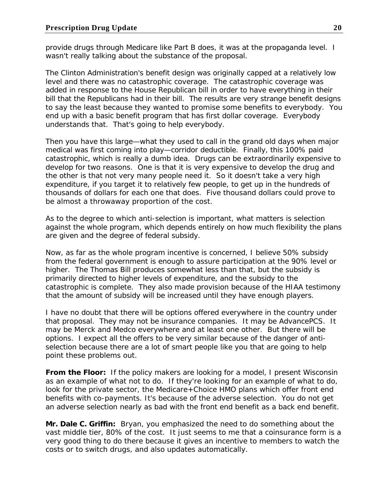provide drugs through Medicare like Part B does, it was at the propaganda level. I wasn't really talking about the substance of the proposal.

The Clinton Administration's benefit design was originally capped at a relatively low level and there was no catastrophic coverage. The catastrophic coverage was added in response to the House Republican bill in order to have everything in their bill that the Republicans had in their bill. The results are very strange benefit designs to say the least because they wanted to promise some benefits to everybody. You end up with a basic benefit program that has first dollar coverage. Everybody understands that. That's going to help everybody.

Then you have this large—what they used to call in the grand old days when major medical was first coming into play—corridor deductible. Finally, this 100% paid catastrophic, which is really a dumb idea. Drugs can be extraordinarily expensive to develop for two reasons. One is that it is very expensive to develop the drug and the other is that not very many people need it. So it doesn't take a very high expenditure, if you target it to relatively few people, to get up in the hundreds of thousands of dollars for each one that does. Five thousand dollars could prove to be almost a throwaway proportion of the cost.

As to the degree to which anti-selection is important, what matters is selection against the whole program, which depends entirely on how much flexibility the plans are given and the degree of federal subsidy.

Now, as far as the whole program incentive is concerned, I believe 50% subsidy from the federal government is enough to assure participation at the 90% level or higher. The Thomas Bill produces somewhat less than that, but the subsidy is primarily directed to higher levels of expenditure, and the subsidy to the catastrophic is complete. They also made provision because of the HIAA testimony that the amount of subsidy will be increased until they have enough players.

I have no doubt that there will be options offered everywhere in the country under that proposal. They may not be insurance companies. It may be AdvancePCS. It may be Merck and Medco everywhere and at least one other. But there will be options. I expect all the offers to be very similar because of the danger of antiselection because there are a lot of smart people like you that are going to help point these problems out.

**From the Floor:** If the policy makers are looking for a model, I present Wisconsin as an example of what not to do. If they're looking for an example of what to do, look for the private sector, the Medicare+Choice HMO plans which offer front end benefits with co-payments. It's because of the adverse selection. You do not get an adverse selection nearly as bad with the front end benefit as a back end benefit.

**Mr. Dale C. Griffin:** Bryan, you emphasized the need to do something about the vast middle tier, 80% of the cost. It just seems to me that a coinsurance form is a very good thing to do there because it gives an incentive to members to watch the costs or to switch drugs, and also updates automatically.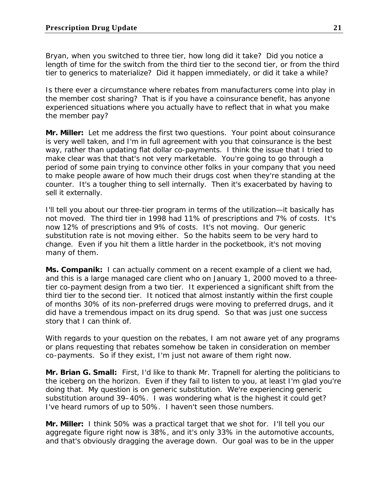Bryan, when you switched to three tier, how long did it take? Did you notice a length of time for the switch from the third tier to the second tier, or from the third tier to generics to materialize? Did it happen immediately, or did it take a while?

Is there ever a circumstance where rebates from manufacturers come into play in the member cost sharing? That is if you have a coinsurance benefit, has anyone experienced situations where you actually have to reflect that in what you make the member pay?

**Mr. Miller:** Let me address the first two questions. Your point about coinsurance is very well taken, and I'm in full agreement with you that coinsurance is the best way, rather than updating flat dollar co-payments. I think the issue that I tried to make clear was that that's not very marketable. You're going to go through a period of some pain trying to convince other folks in your company that you need to make people aware of how much their drugs cost when they're standing at the counter. It's a tougher thing to sell internally. Then it's exacerbated by having to sell it externally.

I'll tell you about our three-tier program in terms of the utilization—it basically has not moved. The third tier in 1998 had 11% of prescriptions and 7% of costs. It's now 12% of prescriptions and 9% of costs. It's not moving. Our generic substitution rate is not moving either. So the habits seem to be very hard to change. Even if you hit them a little harder in the pocketbook, it's not moving many of them.

**Ms. Companik:** I can actually comment on a recent example of a client we had, and this is a large managed care client who on January 1, 2000 moved to a threetier co-payment design from a two tier. It experienced a significant shift from the third tier to the second tier. It noticed that almost instantly within the first couple of months 30% of its non-preferred drugs were moving to preferred drugs, and it did have a tremendous impact on its drug spend. So that was just one success story that I can think of.

With regards to your question on the rebates, I am not aware yet of any programs or plans requesting that rebates somehow be taken in consideration on member co-payments. So if they exist, I'm just not aware of them right now.

**Mr. Brian G. Small:** First, I'd like to thank Mr. Trapnell for alerting the politicians to the iceberg on the horizon. Even if they fail to listen to you, at least I'm glad you're doing that. My question is on generic substitution. We're experiencing generic substitution around 39–40%. I was wondering what is the highest it could get? I've heard rumors of up to 50%. I haven't seen those numbers.

**Mr. Miller:** I think 50% was a practical target that we shot for. I'll tell you our aggregate figure right now is 38%, and it's only 33% in the automotive accounts, and that's obviously dragging the average down. Our goal was to be in the upper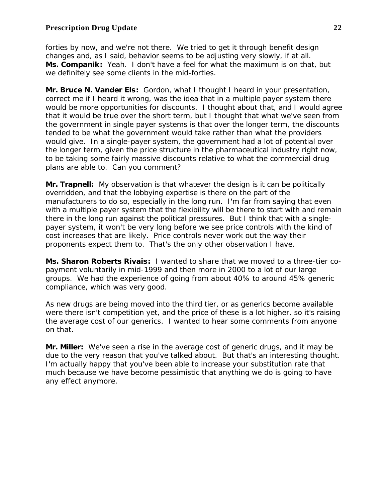forties by now, and we're not there. We tried to get it through benefit design changes and, as I said, behavior seems to be adjusting very slowly, if at all. **Ms. Companik:** Yeah. I don't have a feel for what the maximum is on that, but we definitely see some clients in the mid-forties.

**Mr. Bruce N. Vander Els:** Gordon, what I thought I heard in your presentation, correct me if I heard it wrong, was the idea that in a multiple payer system there would be more opportunities for discounts. I thought about that, and I would agree that it would be true over the short term, but I thought that what we've seen from the government in single payer systems is that over the longer term, the discounts tended to be what the government would take rather than what the providers would give. In a single-payer system, the government had a lot of potential over the longer term, given the price structure in the pharmaceutical industry right now, to be taking some fairly massive discounts relative to what the commercial drug plans are able to. Can you comment?

**Mr. Trapnell:** My observation is that whatever the design is it can be politically overridden, and that the lobbying expertise is there on the part of the manufacturers to do so, especially in the long run. I'm far from saying that even with a multiple payer system that the flexibility will be there to start with and remain there in the long run against the political pressures. But I think that with a singlepayer system, it won't be very long before we see price controls with the kind of cost increases that are likely. Price controls never work out the way their proponents expect them to. That's the only other observation I have.

**Ms. Sharon Roberts Rivais:** I wanted to share that we moved to a three-tier copayment voluntarily in mid-1999 and then more in 2000 to a lot of our large groups. We had the experience of going from about 40% to around 45% generic compliance, which was very good.

As new drugs are being moved into the third tier, or as generics become available were there isn't competition yet, and the price of these is a lot higher, so it's raising the average cost of our generics. I wanted to hear some comments from anyone on that.

**Mr. Miller:** We've seen a rise in the average cost of generic drugs, and it may be due to the very reason that you've talked about. But that's an interesting thought. I'm actually happy that you've been able to increase your substitution rate that much because we have become pessimistic that anything we do is going to have any effect anymore.